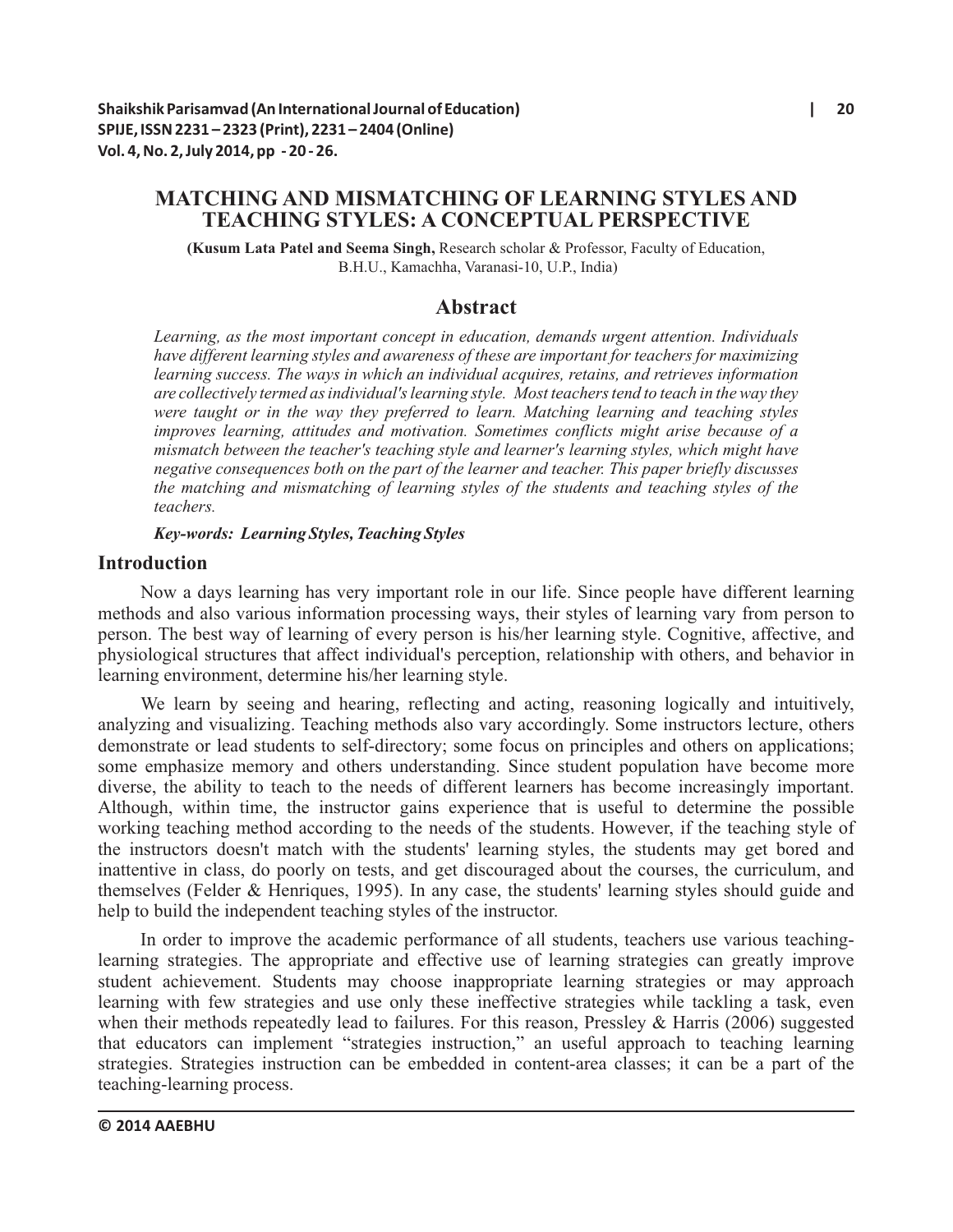# **MATCHING AND MISMATCHING OF LEARNING STYLES AND TEACHING STYLES: A CONCEPTUAL PERSPECTIVE**

**(Kusum Lata Patel and Seema Singh,** Research scholar & Professor, Faculty of Education, B.H.U., Kamachha, Varanasi-10, U.P., India)

# **Abstract**

*Learning, as the most important concept in education, demands urgent attention. Individuals have different learning styles and awareness of these are important for teachers for maximizing learning success. The ways in which an individual acquires, retains, and retrieves information are collectively termed as individual's learning style. Most teachers tend to teach in the way they were taught or in the way they preferred to learn. Matching learning and teaching styles improves learning, attitudes and motivation. Sometimes conflicts might arise because of a mismatch between the teacher's teaching style and learner's learning styles, which might have negative consequences both on the part of the learner and teacher. This paper briefly discusses the matching and mismatching of learning styles of the students and teaching styles of the teachers.* 

*Key-words: Learning Styles, Teaching Styles*

## **Introduction**

Now a days learning has very important role in our life. Since people have different learning methods and also various information processing ways, their styles of learning vary from person to person. The best way of learning of every person is his/her learning style. Cognitive, affective, and physiological structures that affect individual's perception, relationship with others, and behavior in learning environment, determine his/her learning style.

We learn by seeing and hearing, reflecting and acting, reasoning logically and intuitively, analyzing and visualizing. Teaching methods also vary accordingly. Some instructors lecture, others demonstrate or lead students to self-directory; some focus on principles and others on applications; some emphasize memory and others understanding. Since student population have become more diverse, the ability to teach to the needs of different learners has become increasingly important. Although, within time, the instructor gains experience that is useful to determine the possible working teaching method according to the needs of the students. However, if the teaching style of the instructors doesn't match with the students' learning styles, the students may get bored and inattentive in class, do poorly on tests, and get discouraged about the courses, the curriculum, and themselves (Felder & Henriques, 1995). In any case, the students' learning styles should guide and help to build the independent teaching styles of the instructor.

In order to improve the academic performance of all students, teachers use various teachinglearning strategies. The appropriate and effective use of learning strategies can greatly improve student achievement. Students may choose inappropriate learning strategies or may approach learning with few strategies and use only these ineffective strategies while tackling a task, even when their methods repeatedly lead to failures. For this reason, Pressley  $&$  Harris (2006) suggested that educators can implement "strategies instruction," an useful approach to teaching learning strategies. Strategies instruction can be embedded in content-area classes; it can be a part of the teaching-learning process.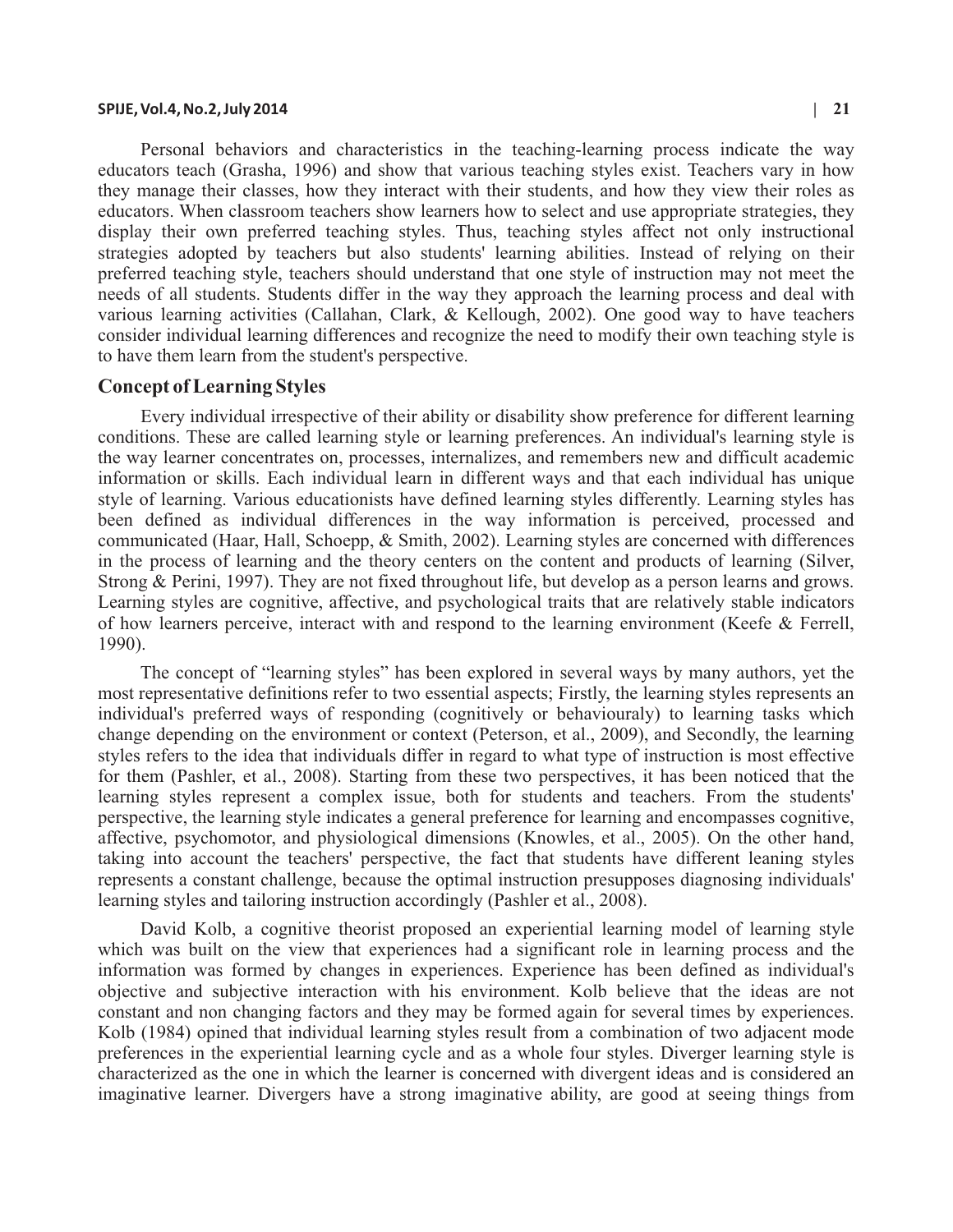#### **SPIJE, Vol.4, No.2, July 2014 | 21**

Personal behaviors and characteristics in the teaching-learning process indicate the way educators teach (Grasha, 1996) and show that various teaching styles exist. Teachers vary in how they manage their classes, how they interact with their students, and how they view their roles as educators. When classroom teachers show learners how to select and use appropriate strategies, they display their own preferred teaching styles. Thus, teaching styles affect not only instructional strategies adopted by teachers but also students' learning abilities. Instead of relying on their preferred teaching style, teachers should understand that one style of instruction may not meet the needs of all students. Students differ in the way they approach the learning process and deal with various learning activities (Callahan, Clark, & Kellough, 2002). One good way to have teachers consider individual learning differences and recognize the need to modify their own teaching style is to have them learn from the student's perspective.

#### **Concept of Learning Styles**

Every individual irrespective of their ability or disability show preference for different learning conditions. These are called learning style or learning preferences. An individual's learning style is the way learner concentrates on, processes, internalizes, and remembers new and difficult academic information or skills. Each individual learn in different ways and that each individual has unique style of learning. Various educationists have defined learning styles differently. Learning styles has been defined as individual differences in the way information is perceived, processed and communicated (Haar, Hall, Schoepp, & Smith, 2002). Learning styles are concerned with differences in the process of learning and the theory centers on the content and products of learning (Silver, Strong & Perini, 1997). They are not fixed throughout life, but develop as a person learns and grows. Learning styles are cognitive, affective, and psychological traits that are relatively stable indicators of how learners perceive, interact with and respond to the learning environment (Keefe & Ferrell, 1990).

The concept of "learning styles" has been explored in several ways by many authors, yet the most representative definitions refer to two essential aspects; Firstly, the learning styles represents an individual's preferred ways of responding (cognitively or behaviouraly) to learning tasks which change depending on the environment or context (Peterson, et al., 2009), and Secondly, the learning styles refers to the idea that individuals differ in regard to what type of instruction is most effective for them (Pashler, et al., 2008). Starting from these two perspectives, it has been noticed that the learning styles represent a complex issue, both for students and teachers. From the students' perspective, the learning style indicates a general preference for learning and encompasses cognitive, affective, psychomotor, and physiological dimensions (Knowles, et al., 2005). On the other hand, taking into account the teachers' perspective, the fact that students have different leaning styles represents a constant challenge, because the optimal instruction presupposes diagnosing individuals' learning styles and tailoring instruction accordingly (Pashler et al., 2008).

David Kolb, a cognitive theorist proposed an experiential learning model of learning style which was built on the view that experiences had a significant role in learning process and the information was formed by changes in experiences. Experience has been defined as individual's objective and subjective interaction with his environment. Kolb believe that the ideas are not constant and non changing factors and they may be formed again for several times by experiences. Kolb (1984) opined that individual learning styles result from a combination of two adjacent mode preferences in the experiential learning cycle and as a whole four styles. Diverger learning style is characterized as the one in which the learner is concerned with divergent ideas and is considered an imaginative learner. Divergers have a strong imaginative ability, are good at seeing things from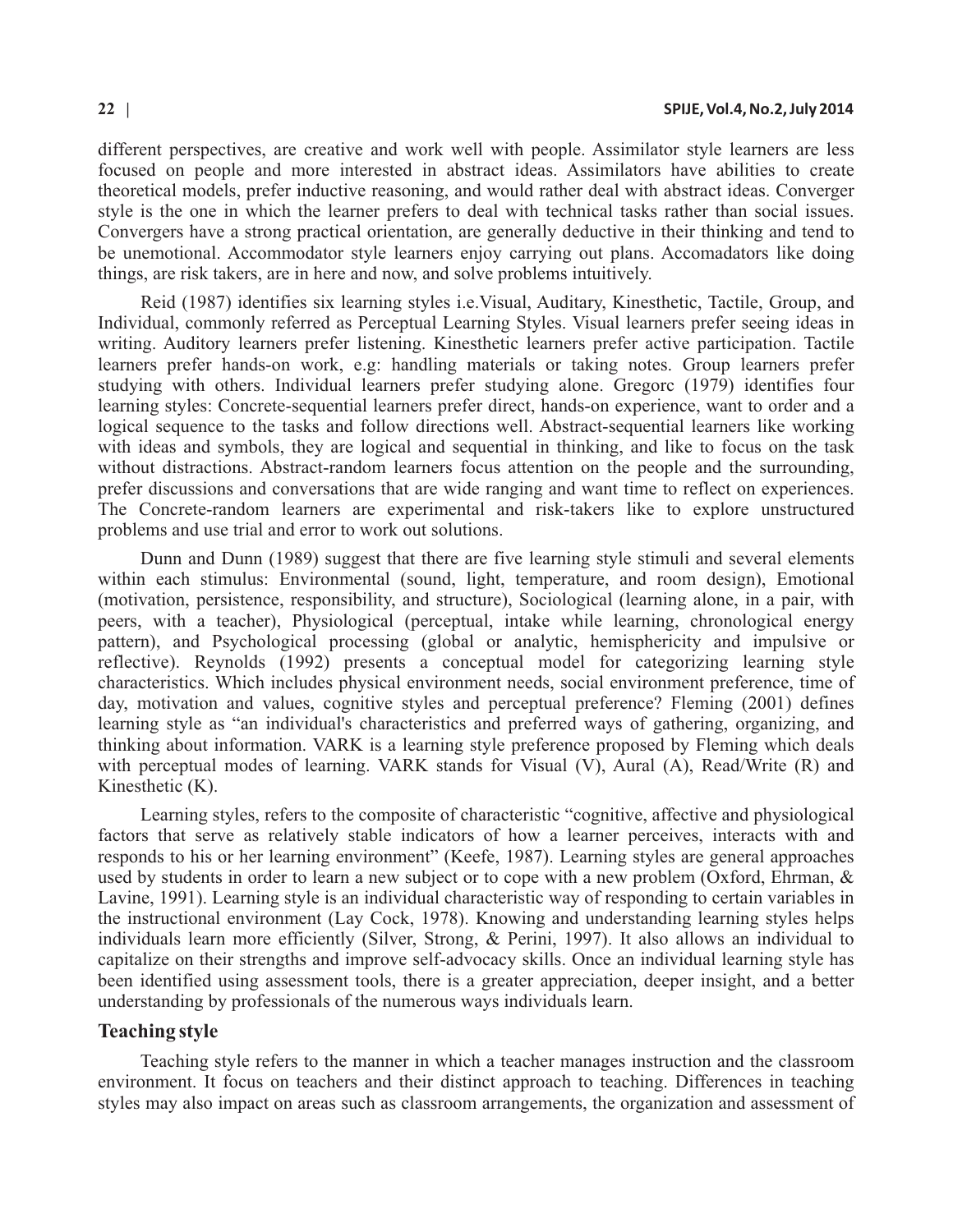different perspectives, are creative and work well with people. Assimilator style learners are less focused on people and more interested in abstract ideas. Assimilators have abilities to create theoretical models, prefer inductive reasoning, and would rather deal with abstract ideas. Converger style is the one in which the learner prefers to deal with technical tasks rather than social issues. Convergers have a strong practical orientation, are generally deductive in their thinking and tend to be unemotional. Accommodator style learners enjoy carrying out plans. Accomadators like doing things, are risk takers, are in here and now, and solve problems intuitively.

Reid (1987) identifies six learning styles i.e.Visual, Auditary, Kinesthetic, Tactile, Group, and Individual, commonly referred as Perceptual Learning Styles. Visual learners prefer seeing ideas in writing. Auditory learners prefer listening. Kinesthetic learners prefer active participation. Tactile learners prefer hands-on work, e.g: handling materials or taking notes. Group learners prefer studying with others. Individual learners prefer studying alone. Gregorc (1979) identifies four learning styles: Concrete-sequential learners prefer direct, hands-on experience, want to order and a logical sequence to the tasks and follow directions well. Abstract-sequential learners like working with ideas and symbols, they are logical and sequential in thinking, and like to focus on the task without distractions. Abstract-random learners focus attention on the people and the surrounding, prefer discussions and conversations that are wide ranging and want time to reflect on experiences. The Concrete-random learners are experimental and risk-takers like to explore unstructured problems and use trial and error to work out solutions.

Dunn and Dunn (1989) suggest that there are five learning style stimuli and several elements within each stimulus: Environmental (sound, light, temperature, and room design), Emotional (motivation, persistence, responsibility, and structure), Sociological (learning alone, in a pair, with peers, with a teacher), Physiological (perceptual, intake while learning, chronological energy pattern), and Psychological processing (global or analytic, hemisphericity and impulsive or reflective). Reynolds (1992) presents a conceptual model for categorizing learning style characteristics. Which includes physical environment needs, social environment preference, time of day, motivation and values, cognitive styles and perceptual preference? Fleming (2001) defines learning style as "an individual's characteristics and preferred ways of gathering, organizing, and thinking about information. VARK is a learning style preference proposed by Fleming which deals with perceptual modes of learning. VARK stands for Visual (V), Aural (A), Read/Write (R) and Kinesthetic (K).

Learning styles, refers to the composite of characteristic "cognitive, affective and physiological factors that serve as relatively stable indicators of how a learner perceives, interacts with and responds to his or her learning environment" (Keefe, 1987). Learning styles are general approaches used by students in order to learn a new subject or to cope with a new problem (Oxford, Ehrman, & Lavine, 1991). Learning style is an individual characteristic way of responding to certain variables in the instructional environment (Lay Cock, 1978). Knowing and understanding learning styles helps individuals learn more efficiently (Silver, Strong, & Perini, 1997). It also allows an individual to capitalize on their strengths and improve self-advocacy skills. Once an individual learning style has been identified using assessment tools, there is a greater appreciation, deeper insight, and a better understanding by professionals of the numerous ways individuals learn.

### **Teaching style**

Teaching style refers to the manner in which a teacher manages instruction and the classroom environment. It focus on teachers and their distinct approach to teaching. Differences in teaching styles may also impact on areas such as classroom arrangements, the organization and assessment of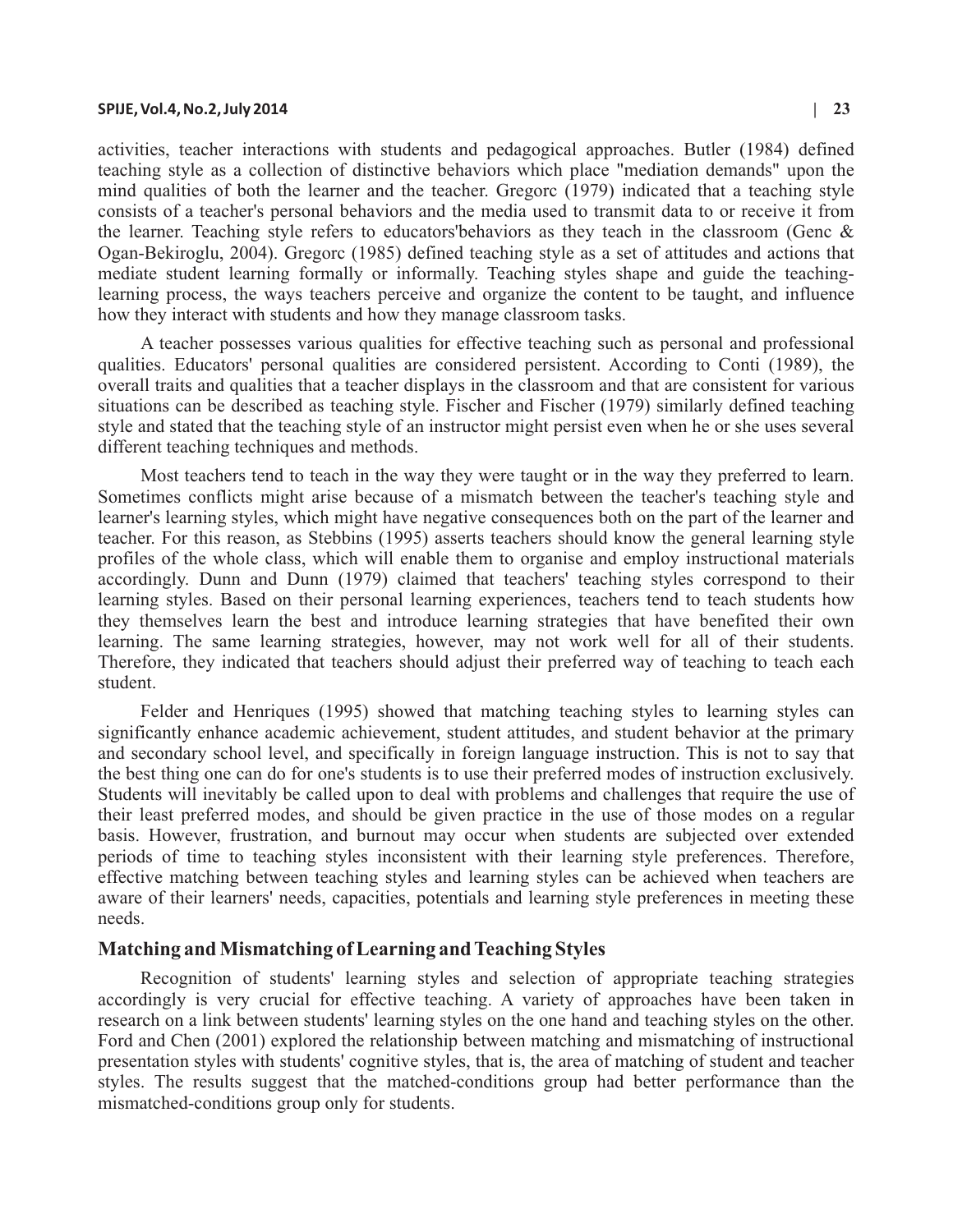#### **SPIJE, Vol.4, No.2, July 2014 | 23**

activities, teacher interactions with students and pedagogical approaches. Butler (1984) defined teaching style as a collection of distinctive behaviors which place "mediation demands" upon the mind qualities of both the learner and the teacher. Gregorc (1979) indicated that a teaching style consists of a teacher's personal behaviors and the media used to transmit data to or receive it from the learner. Teaching style refers to educators'behaviors as they teach in the classroom (Genc  $\&$ Ogan-Bekiroglu, 2004). Gregorc (1985) defined teaching style as a set of attitudes and actions that mediate student learning formally or informally. Teaching styles shape and guide the teachinglearning process, the ways teachers perceive and organize the content to be taught, and influence how they interact with students and how they manage classroom tasks.

A teacher possesses various qualities for effective teaching such as personal and professional qualities. Educators' personal qualities are considered persistent. According to Conti (1989), the overall traits and qualities that a teacher displays in the classroom and that are consistent for various situations can be described as teaching style. Fischer and Fischer (1979) similarly defined teaching style and stated that the teaching style of an instructor might persist even when he or she uses several different teaching techniques and methods.

Most teachers tend to teach in the way they were taught or in the way they preferred to learn. Sometimes conflicts might arise because of a mismatch between the teacher's teaching style and learner's learning styles, which might have negative consequences both on the part of the learner and teacher. For this reason, as Stebbins (1995) asserts teachers should know the general learning style profiles of the whole class, which will enable them to organise and employ instructional materials accordingly. Dunn and Dunn (1979) claimed that teachers' teaching styles correspond to their learning styles. Based on their personal learning experiences, teachers tend to teach students how they themselves learn the best and introduce learning strategies that have benefited their own learning. The same learning strategies, however, may not work well for all of their students. Therefore, they indicated that teachers should adjust their preferred way of teaching to teach each student.

Felder and Henriques (1995) showed that matching teaching styles to learning styles can significantly enhance academic achievement, student attitudes, and student behavior at the primary and secondary school level, and specifically in foreign language instruction. This is not to say that the best thing one can do for one's students is to use their preferred modes of instruction exclusively. Students will inevitably be called upon to deal with problems and challenges that require the use of their least preferred modes, and should be given practice in the use of those modes on a regular basis. However, frustration, and burnout may occur when students are subjected over extended periods of time to teaching styles inconsistent with their learning style preferences. Therefore, effective matching between teaching styles and learning styles can be achieved when teachers are aware of their learners' needs, capacities, potentials and learning style preferences in meeting these needs.

### **Matching and Mismatching of Learning and Teaching Styles**

Recognition of students' learning styles and selection of appropriate teaching strategies accordingly is very crucial for effective teaching. A variety of approaches have been taken in research on a link between students' learning styles on the one hand and teaching styles on the other. Ford and Chen (2001) explored the relationship between matching and mismatching of instructional presentation styles with students' cognitive styles, that is, the area of matching of student and teacher styles. The results suggest that the matched-conditions group had better performance than the mismatched-conditions group only for students.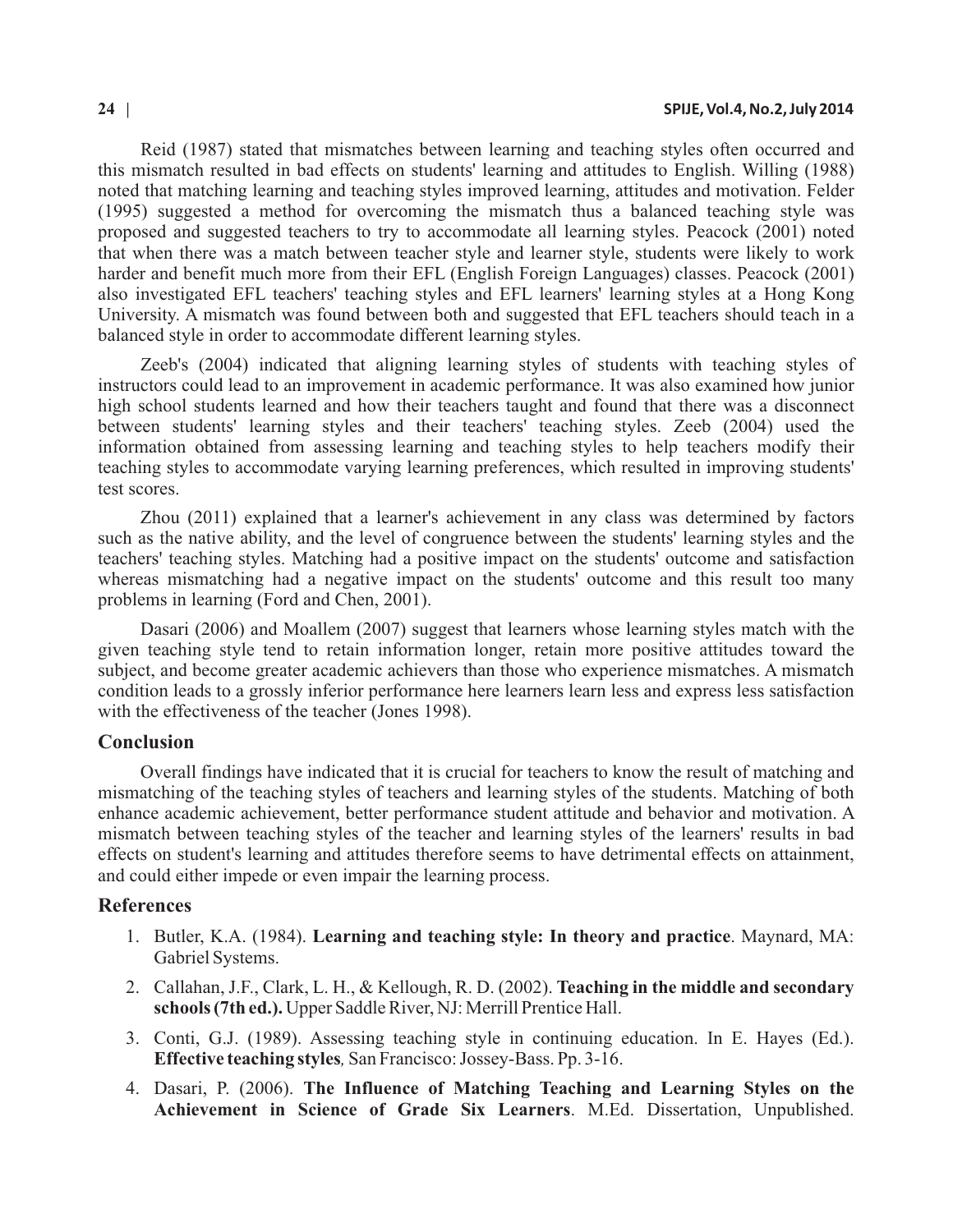Reid (1987) stated that mismatches between learning and teaching styles often occurred and this mismatch resulted in bad effects on students' learning and attitudes to English. Willing (1988) noted that matching learning and teaching styles improved learning, attitudes and motivation. Felder (1995) suggested a method for overcoming the mismatch thus a balanced teaching style was proposed and suggested teachers to try to accommodate all learning styles. Peacock (2001) noted that when there was a match between teacher style and learner style, students were likely to work harder and benefit much more from their EFL (English Foreign Languages) classes. Peacock (2001) also investigated EFL teachers' teaching styles and EFL learners' learning styles at a Hong Kong University. A mismatch was found between both and suggested that EFL teachers should teach in a balanced style in order to accommodate different learning styles.

Zeeb's (2004) indicated that aligning learning styles of students with teaching styles of instructors could lead to an improvement in academic performance. It was also examined how junior high school students learned and how their teachers taught and found that there was a disconnect between students' learning styles and their teachers' teaching styles. Zeeb (2004) used the information obtained from assessing learning and teaching styles to help teachers modify their teaching styles to accommodate varying learning preferences, which resulted in improving students' test scores.

Zhou (2011) explained that a learner's achievement in any class was determined by factors such as the native ability, and the level of congruence between the students' learning styles and the teachers' teaching styles. Matching had a positive impact on the students' outcome and satisfaction whereas mismatching had a negative impact on the students' outcome and this result too many problems in learning (Ford and Chen, 2001).

Dasari (2006) and Moallem (2007) suggest that learners whose learning styles match with the given teaching style tend to retain information longer, retain more positive attitudes toward the subject, and become greater academic achievers than those who experience mismatches. A mismatch condition leads to a grossly inferior performance here learners learn less and express less satisfaction with the effectiveness of the teacher (Jones 1998).

### **Conclusion**

Overall findings have indicated that it is crucial for teachers to know the result of matching and mismatching of the teaching styles of teachers and learning styles of the students. Matching of both enhance academic achievement, better performance student attitude and behavior and motivation. A mismatch between teaching styles of the teacher and learning styles of the learners' results in bad effects on student's learning and attitudes therefore seems to have detrimental effects on attainment, and could either impede or even impair the learning process.

### **References**

- 1. Butler, K.A. (1984). **Learning and teaching style: In theory and practice**. Maynard, MA: Gabriel Systems.
- 2. Callahan, J.F., Clark, L. H., & Kellough, R. D. (2002). **Teaching in the middle and secondary schools(7th ed.).** Upper Saddle River, NJ: Merrill Prentice Hall.
- 3. Conti, G.J. (1989). Assessing teaching style in continuing education. In E. Hayes (Ed.). **Effective teaching styles***,* San Francisco: Jossey-Bass. Pp. 3-16.
- 4. Dasari, P. (2006). **The Influence of Matching Teaching and Learning Styles on the Achievement in Science of Grade Six Learners**. M.Ed. Dissertation, Unpublished.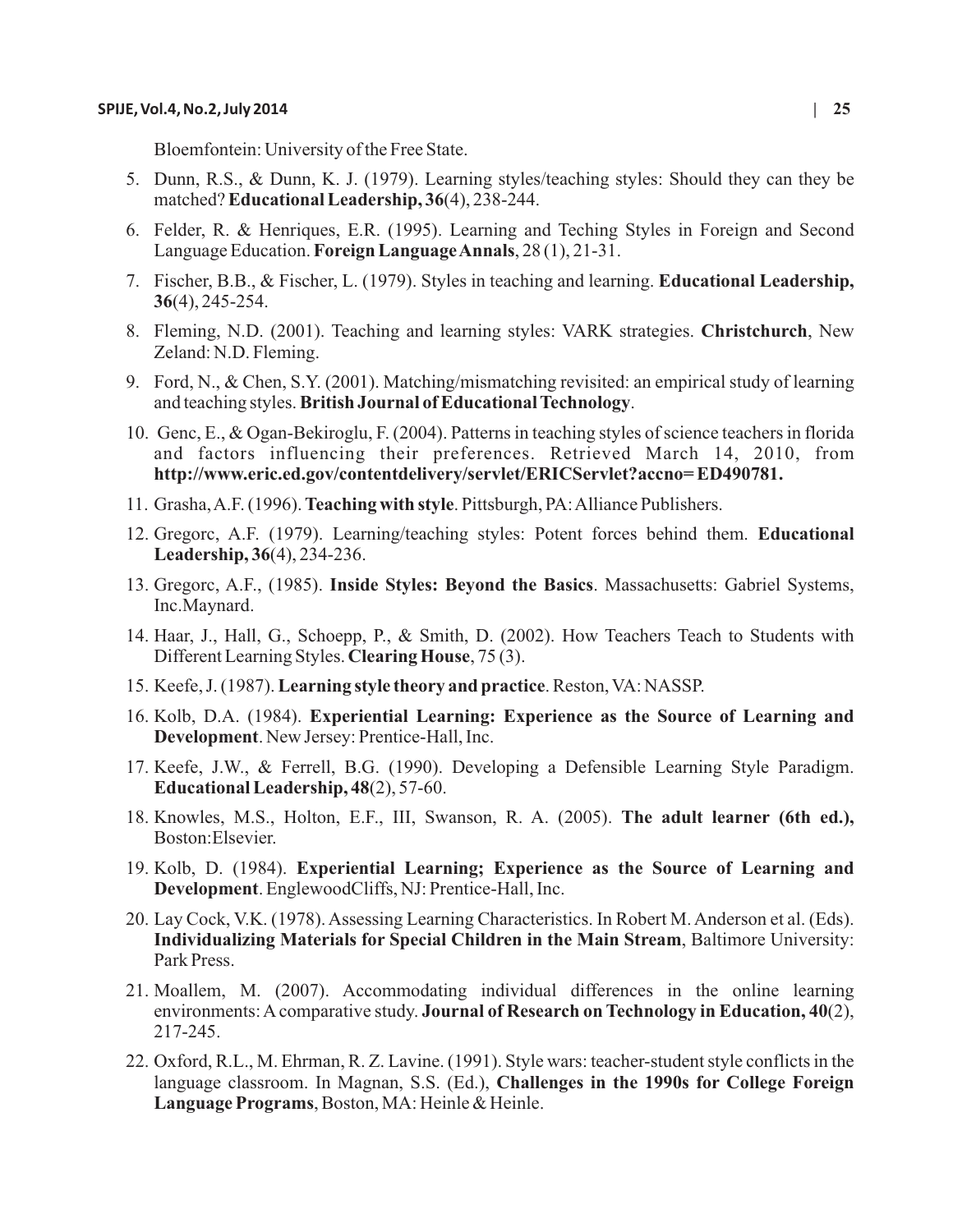Bloemfontein: University of the Free State.

- 5. Dunn, R.S., & Dunn, K. J. (1979). Learning styles/teaching styles: Should they can they be matched? **Educational Leadership, 36**(4), 238-244.
- 6. Felder, R. & Henriques, E.R. (1995). Learning and Teching Styles in Foreign and Second Language Education. **Foreign Language Annals**, 28 (1), 21-31.
- 7. Fischer, B.B., & Fischer, L. (1979). Styles in teaching and learning. **Educational Leadership, 36**(4), 245-254.
- 8. Fleming, N.D. (2001). Teaching and learning styles: VARK strategies. **Christchurch**, New Zeland: N.D. Fleming.
- 9. Ford, N., & Chen, S.Y. (2001). Matching/mismatching revisited: an empirical study of learning and teaching styles. **British Journal of Educational Technology**.
- 10. Genc, E., & Ogan-Bekiroglu, F. (2004). Patterns in teaching styles of science teachers in florida and factors influencing their preferences. Retrieved March 14, 2010, from **http://www.eric.ed.gov/contentdelivery/servlet/ERICServlet?accno= ED490781.**
- 11. Grasha, A.F. (1996). **Teaching with style**. Pittsburgh, PA: Alliance Publishers.
- 12. Gregorc, A.F. (1979). Learning/teaching styles: Potent forces behind them. **Educational Leadership, 36**(4), 234-236.
- 13. Gregorc, A.F., (1985). **Inside Styles: Beyond the Basics**. Massachusetts: Gabriel Systems, Inc.Maynard.
- 14. Haar, J., Hall, G., Schoepp, P., & Smith, D. (2002). How Teachers Teach to Students with Different Learning Styles. **Clearing House**, 75 (3).
- 15. Keefe, J. (1987). **Learning style theory and practice**. Reston, VA: NASSP.
- 16. Kolb, D.A. (1984). **Experiential Learning: Experience as the Source of Learning and Development**. New Jersey: Prentice-Hall, Inc.
- 17. Keefe, J.W., & Ferrell, B.G. (1990). Developing a Defensible Learning Style Paradigm. **Educational Leadership, 48**(2), 57-60.
- 18. Knowles, M.S., Holton, E.F., III, Swanson, R. A. (2005). **The adult learner (6th ed.),** Boston:Elsevier.
- 19. Kolb, D. (1984). **Experiential Learning; Experience as the Source of Learning and Development**. EnglewoodCliffs, NJ: Prentice-Hall, Inc.
- 20. Lay Cock, V.K. (1978). Assessing Learning Characteristics. In Robert M. Anderson et al. (Eds). **Individualizing Materials for Special Children in the Main Stream**, Baltimore University: Park Press.
- 21. Moallem, M. (2007). Accommodating individual differences in the online learning environments: Acomparative study. **Journal of Research on Technology in Education, 40**(2), 217-245.
- 22. Oxford, R.L., M. Ehrman, R. Z. Lavine. (1991). Style wars: teacher-student style conflicts in the language classroom. In Magnan, S.S. (Ed.), **Challenges in the 1990s for College Foreign Language Programs**, Boston, MA: Heinle & Heinle.